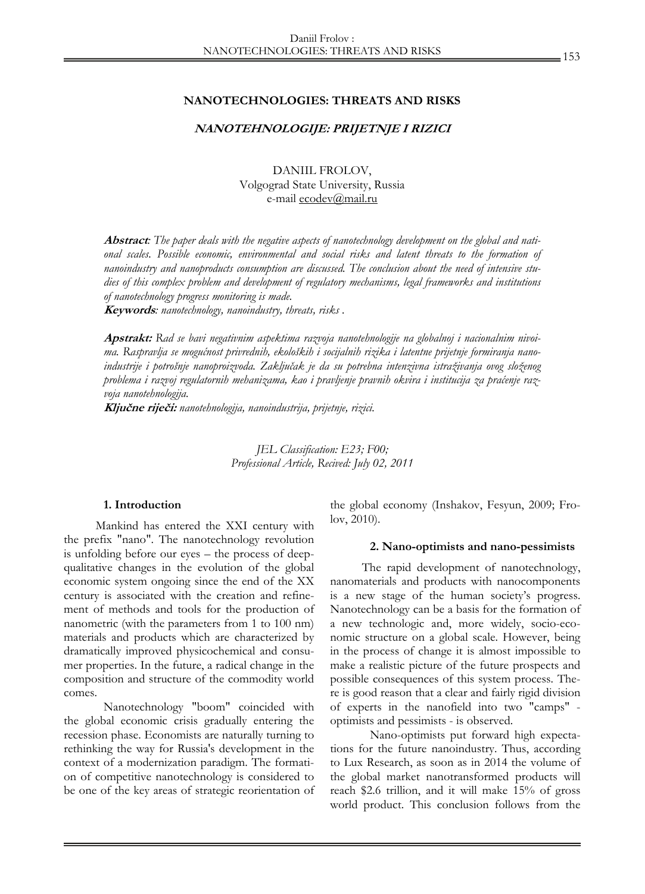### **NANOTECHNOLOGIES: THREATS AND RISKS**

## **NANOTEHNOLOGIJE: PRIJETNJE I RIZICI**

DANIIL FROLOV, Volgograd State University, Russia e-mail ecodev@mail.ru

**Abstract***: The paper deals with the negative aspects of nanotechnology development on the global and national scales. Possible economic, environmental and social risks and latent threats to the formation of nanoindustry and nanoproducts consumption are discussed. The conclusion about the need of intensive studies of this complex problem and development of regulatory mechanisms, legal frameworks and institutions of nanotechnology progress monitoring is made.* 

**Keywords***: nanotechnology, nanoindustry, threats, risks .* 

**Apstrakt:** *Rad se bavi negativnim aspektima razvoja nanotehnologije na globalnoj i nacionalnim nivoima. Raspravlja se mogućnost privrednih, ekoloških i socijalnih rizika i latentne prijetnje formiranja nanoindustrije i potrošnje nanoproizvoda. Zaključak je da su potrebna intenzivna istraživanja ovog složenog problema i razvoj regulatornih mehanizama, kao i pravljenje pravnih okvira i institucija za praćenje razvoja nanotehnologija.*

**Ključne riječi:** *nanotehnologija, nanoindustrija, prijetnje, rizici.* 

*JEL Classification: E23; F00; Professional Article, Recived: July 02, 2011* 

#### **1. Introduction**

Mankind has entered the XXI century with the prefix "nano". The nanotechnology revolution is unfolding before our eyes – the process of deepqualitative changes in the evolution of the global economic system ongoing since the end of the XX century is associated with the creation and refinement of methods and tools for the production of nanometric (with the parameters from 1 to 100 nm) materials and products which are characterized by dramatically improved physicochemical and consumer properties. In the future, a radical change in the composition and structure of the commodity world comes.

Nanotechnology "boom" coincided with the global economic crisis gradually entering the recession phase. Economists are naturally turning to rethinking the way for Russia's development in the context of a modernization paradigm. The formation of competitive nanotechnology is considered to be one of the key areas of strategic reorientation of

the global economy (Inshakov, Fesyun, 2009; Frolov, 2010).

#### **2. Nano-optimists and nano-pessimists**

The rapid development of nanotechnology, nanomaterials and products with nanocomponents is a new stage of the human society's progress. Nanotechnology can be a basis for the formation of a new technologic and, more widely, socio-economic structure on a global scale. However, being in the process of change it is almost impossible to make a realistic picture of the future prospects and possible consequences of this system process. There is good reason that a clear and fairly rigid division of experts in the nanofield into two "camps" optimists and pessimists - is observed.

Nano-optimists put forward high expectations for the future nanoindustry. Thus, according to Lux Research, as soon as in 2014 the volume of the global market nanotransformed products will reach \$2.6 trillion, and it will make 15% of gross world product. This conclusion follows from the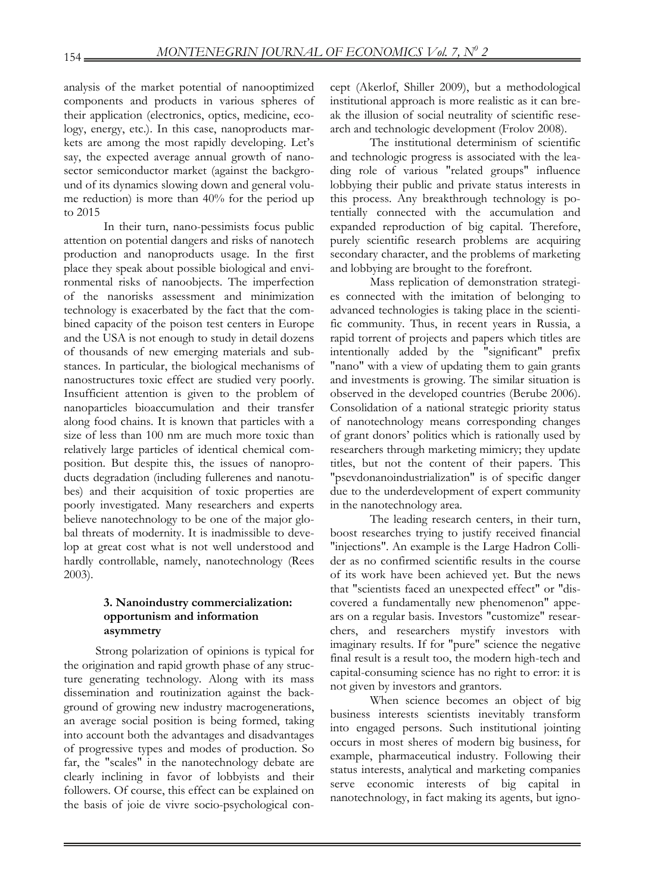analysis of the market potential of nanooptimized components and products in various spheres of their application (electronics, optics, medicine, ecology, energy, etc.). In this case, nanoproducts markets are among the most rapidly developing. Let's say, the expected average annual growth of nanosector semiconductor market (against the background of its dynamics slowing down and general volume reduction) is more than 40% for the period up to 2015

In their turn, nano-pessimists focus public attention on potential dangers and risks of nanotech production and nanoproducts usage. In the first place they speak about possible biological and environmental risks of nanoobjects. The imperfection of the nanorisks assessment and minimization technology is exacerbated by the fact that the combined capacity of the poison test centers in Europe and the USA is not enough to study in detail dozens of thousands of new emerging materials and substances. In particular, the biological mechanisms of nanostructures toxic effect are studied very poorly. Insufficient attention is given to the problem of nanoparticles bioaccumulation and their transfer along food chains. It is known that particles with a size of less than 100 nm are much more toxic than relatively large particles of identical chemical composition. But despite this, the issues of nanoproducts degradation (including fullerenes and nanotubes) and their acquisition of toxic properties are poorly investigated. Many researchers and experts believe nanotechnology to be one of the major global threats of modernity. It is inadmissible to develop at great cost what is not well understood and hardly controllable, namely, nanotechnology (Rees 2003).

# **3. Nanoindustry commercialization: opportunism and information asymmetry**

Strong polarization of opinions is typical for the origination and rapid growth phase of any structure generating technology. Along with its mass dissemination and routinization against the background of growing new industry macrogenerations, an average social position is being formed, taking into account both the advantages and disadvantages of progressive types and modes of production. So far, the "scales" in the nanotechnology debate are clearly inclining in favor of lobbyists and their followers. Of course, this effect can be explained on the basis of joie de vivre socio-psychological con-

cept (Akerlof, Shiller 2009), but a methodological institutional approach is more realistic as it can break the illusion of social neutrality of scientific research and technologic development (Frolov 2008).

The institutional determinism of scientific and technologic progress is associated with the leading role of various "related groups" influence lobbying their public and private status interests in this process. Any breakthrough technology is potentially connected with the accumulation and expanded reproduction of big capital. Therefore, purely scientific research problems are acquiring secondary character, and the problems of marketing and lobbying are brought to the forefront.

Mass replication of demonstration strategies connected with the imitation of belonging to advanced technologies is taking place in the scientific community. Thus, in recent years in Russia, a rapid torrent of projects and papers which titles are intentionally added by the "significant" prefix "nano" with a view of updating them to gain grants and investments is growing. The similar situation is observed in the developed countries (Berube 2006). Consolidation of a national strategic priority status of nanotechnology means corresponding changes of grant donors' politics which is rationally used by researchers through marketing mimicry; they update titles, but not the content of their papers. This "psevdonanoindustrialization" is of specific danger due to the underdevelopment of expert community in the nanotechnology area.

The leading research centers, in their turn, boost researches trying to justify received financial "injections". An example is the Large Hadron Collider as no confirmed scientific results in the course of its work have been achieved yet. But the news that "scientists faced an unexpected effect" or "discovered a fundamentally new phenomenon" appears on a regular basis. Investors "customize" researchers, and researchers mystify investors with imaginary results. If for "pure" science the negative final result is a result too, the modern high-tech and capital-consuming science has no right to error: it is not given by investors and grantors.

When science becomes an object of big business interests scientists inevitably transform into engaged persons. Such institutional jointing occurs in most sheres of modern big business, for example, pharmaceutical industry. Following their status interests, analytical and marketing companies serve economic interests of big capital in nanotechnology, in fact making its agents, but igno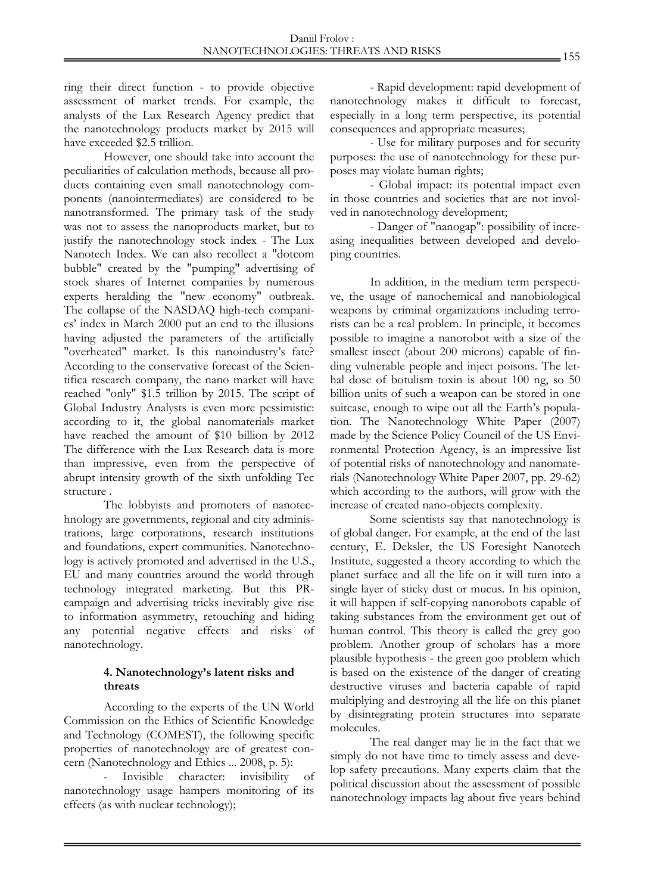ring their direct function - to provide objective assessment of market trends. For example, the analysts of the Lux Research Agency predict that the nanotechnology products market by 2015 will have exceeded \$2.5 trillion.

However, one should take into account the peculiarities of calculation methods, because all products containing even small nanotechnology components (nanointermediates) are considered to be nanotransformed. The primary task of the study was not to assess the nanoproducts market, but to justify the nanotechnology stock index - The Lux Nanotech Index. We can also recollect a "dotcom bubble" created by the "pumping" advertising of stock shares of Internet companies by numerous experts heralding the "new economy" outbreak. The collapse of the NASDAQ high-tech companies' index in March 2000 put an end to the illusions having adjusted the parameters of the artificially "overheated" market. Is this nanoindustry's fate? According to the conservative forecast of the Scientifica research company, the nano market will have reached "only" \$1.5 trillion by 2015. The script of Global Industry Analysts is even more pessimistic: according to it, the global nanomaterials market have reached the amount of \$10 billion by 2012 The difference with the Lux Research data is more than impressive, even from the perspective of abrupt intensity growth of the sixth unfolding Tec structure .

The lobbyists and promoters of nanotechnology are governments, regional and city administrations, large corporations, research institutions and foundations, expert communities. Nanotechnology is actively promoted and advertised in the U.S., EU and many countries around the world through technology integrated marketing. But this PRcampaign and advertising tricks inevitably give rise to information asymmetry, retouching and hiding any potential negative effects and risks of nanotechnology.

## **4. Nanotechnology's latent risks and threats**

According to the experts of the UN World Commission on the Ethics of Scientific Knowledge and Technology (COMEST), the following specific properties of nanotechnology are of greatest concern (Nanotechnology and Ethics ... 2008, p. 5):

- Invisible character: invisibility of nanotechnology usage hampers monitoring of its effects (as with nuclear technology);

- Rapid development: rapid development of nanotechnology makes it difficult to forecast, especially in a long term perspective, its potential consequences and appropriate measures;

- Use for military purposes and for security purposes: the use of nanotechnology for these purposes may violate human rights;

- Global impact: its potential impact even in those countries and societies that are not involved in nanotechnology development;

- Danger of "nanogap": possibility of increasing inequalities between developed and developing countries.

In addition, in the medium term perspective, the usage of nanochemical and nanobiological weapons by criminal organizations including terrorists can be a real problem. In principle, it becomes possible to imagine a nanorobot with a size of the smallest insect (about 200 microns) capable of finding vulnerable people and inject poisons. The lethal dose of botulism toxin is about 100 ng, so 50 billion units of such a weapon can be stored in one suitcase, enough to wipe out all the Earth's population. The Nanotechnology White Paper (2007) made by the Science Policy Council of the US Environmental Protection Agency, is an impressive list of potential risks of nanotechnology and nanomaterials (Nanotechnology White Paper 2007, pp. 29-62) which according to the authors, will grow with the increase of created nano-objects complexity.

Some scientists say that nanotechnology is of global danger. For example, at the end of the last century, E. Deksler, the US Foresight Nanotech Institute, suggested a theory according to which the planet surface and all the life on it will turn into a single layer of sticky dust or mucus. In his opinion, it will happen if self-copying nanorobots capable of taking substances from the environment get out of human control. This theory is called the grey goo problem. Another group of scholars has a more plausible hypothesis - the green goo problem which is based on the existence of the danger of creating destructive viruses and bacteria capable of rapid multiplying and destroying all the life on this planet by disintegrating protein structures into separate molecules.

The real danger may lie in the fact that we simply do not have time to timely assess and develop safety precautions. Many experts claim that the political discussion about the assessment of possible nanotechnology impacts lag about five years behind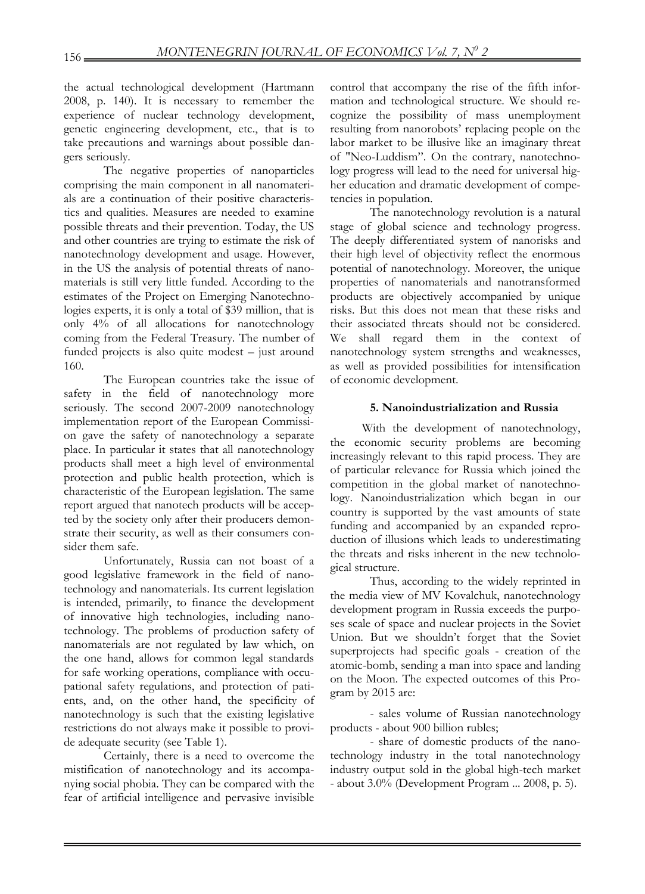the actual technological development (Hartmann 2008, p. 140). It is necessary to remember the experience of nuclear technology development, genetic engineering development, etc., that is to take precautions and warnings about possible dangers seriously.

The negative properties of nanoparticles comprising the main component in all nanomaterials are a continuation of their positive characteristics and qualities. Measures are needed to examine possible threats and their prevention. Today, the US and other countries are trying to estimate the risk of nanotechnology development and usage. However, in the US the analysis of potential threats of nanomaterials is still very little funded. According to the estimates of the Project on Emerging Nanotechnologies experts, it is only a total of \$39 million, that is only 4% of all allocations for nanotechnology coming from the Federal Treasury. The number of funded projects is also quite modest – just around 160.

The European countries take the issue of safety in the field of nanotechnology more seriously. The second 2007-2009 nanotechnology implementation report of the European Commission gave the safety of nanotechnology a separate place. In particular it states that all nanotechnology products shall meet a high level of environmental protection and public health protection, which is characteristic of the European legislation. The same report argued that nanotech products will be accepted by the society only after their producers demonstrate their security, as well as their consumers consider them safe.

Unfortunately, Russia can not boast of a good legislative framework in the field of nanotechnology and nanomaterials. Its current legislation is intended, primarily, to finance the development of innovative high technologies, including nanotechnology. The problems of production safety of nanomaterials are not regulated by law which, on the one hand, allows for common legal standards for safe working operations, compliance with occupational safety regulations, and protection of patients, and, on the other hand, the specificity of nanotechnology is such that the existing legislative restrictions do not always make it possible to provide adequate security (see Table 1).

Certainly, there is a need to overcome the mistification of nanotechnology and its accompanying social phobia. They can be compared with the fear of artificial intelligence and pervasive invisible control that accompany the rise of the fifth information and technological structure. We should recognize the possibility of mass unemployment resulting from nanorobots' replacing people on the labor market to be illusive like an imaginary threat of "Neo-Luddism". On the contrary, nanotechnology progress will lead to the need for universal higher education and dramatic development of competencies in population.

The nanotechnology revolution is a natural stage of global science and technology progress. The deeply differentiated system of nanorisks and their high level of objectivity reflect the enormous potential of nanotechnology. Moreover, the unique properties of nanomaterials and nanotransformed products are objectively accompanied by unique risks. But this does not mean that these risks and their associated threats should not be considered. We shall regard them in the context of nanotechnology system strengths and weaknesses, as well as provided possibilities for intensification of economic development.

# **5. Nanoindustrialization and Russia**

With the development of nanotechnology, the economic security problems are becoming increasingly relevant to this rapid process. They are of particular relevance for Russia which joined the competition in the global market of nanotechnology. Nanoindustrialization which began in our country is supported by the vast amounts of state funding and accompanied by an expanded reproduction of illusions which leads to underestimating the threats and risks inherent in the new technological structure.

Thus, according to the widely reprinted in the media view of MV Kovalchuk, nanotechnology development program in Russia exceeds the purposes scale of space and nuclear projects in the Soviet Union. But we shouldn't forget that the Soviet superprojects had specific goals - creation of the atomic-bomb, sending a man into space and landing on the Moon. The expected outcomes of this Program by 2015 are:

- sales volume of Russian nanotechnology products - about 900 billion rubles;

- share of domestic products of the nanotechnology industry in the total nanotechnology industry output sold in the global high-tech market - about 3.0% (Development Program ... 2008, p. 5).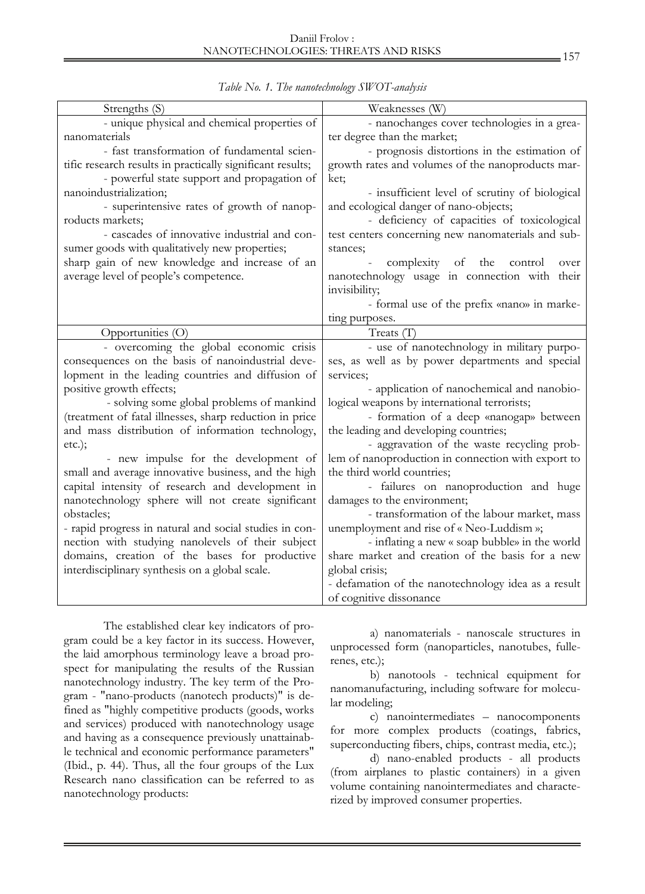| Strengths (S)                                                                                               | Weaknesses (W)                                                                 |
|-------------------------------------------------------------------------------------------------------------|--------------------------------------------------------------------------------|
| - unique physical and chemical properties of                                                                | - nanochanges cover technologies in a grea-                                    |
| nanomaterials                                                                                               | ter degree than the market;                                                    |
| - fast transformation of fundamental scien-                                                                 | - prognosis distortions in the estimation of                                   |
| tific research results in practically significant results;                                                  | growth rates and volumes of the nanoproducts mar-                              |
| - powerful state support and propagation of                                                                 | ket;                                                                           |
| nanoindustrialization;                                                                                      | - insufficient level of scrutiny of biological                                 |
| - superintensive rates of growth of nanop-                                                                  | and ecological danger of nano-objects;                                         |
| roducts markets;                                                                                            | - deficiency of capacities of toxicological                                    |
| - cascades of innovative industrial and con-                                                                | test centers concerning new nanomaterials and sub-                             |
| sumer goods with qualitatively new properties;                                                              | stances;                                                                       |
| sharp gain of new knowledge and increase of an                                                              | complexity of the<br>control<br>over                                           |
| average level of people's competence.                                                                       | nanotechnology usage in connection with their                                  |
|                                                                                                             | invisibility;                                                                  |
|                                                                                                             | - formal use of the prefix «nano» in marke-                                    |
|                                                                                                             | ting purposes.                                                                 |
| Opportunities (O)                                                                                           | Treats $(T)$                                                                   |
| - overcoming the global economic crisis                                                                     | - use of nanotechnology in military purpo-                                     |
| consequences on the basis of nanoindustrial deve-                                                           | ses, as well as by power departments and special                               |
| lopment in the leading countries and diffusion of                                                           | services;                                                                      |
| positive growth effects;                                                                                    | - application of nanochemical and nanobio-                                     |
| - solving some global problems of mankind                                                                   | logical weapons by international terrorists;                                   |
| (treatment of fatal illnesses, sharp reduction in price                                                     | - formation of a deep «nanogap» between                                        |
| and mass distribution of information technology,                                                            | the leading and developing countries;                                          |
| $etc.$ );                                                                                                   | - aggravation of the waste recycling prob-                                     |
| - new impulse for the development of                                                                        | lem of nanoproduction in connection with export to                             |
| small and average innovative business, and the high                                                         | the third world countries;                                                     |
| capital intensity of research and development in                                                            | - failures on nanoproduction and huge                                          |
| nanotechnology sphere will not create significant                                                           | damages to the environment;                                                    |
| obstacles;                                                                                                  | - transformation of the labour market, mass                                    |
|                                                                                                             | unemployment and rise of « Neo-Luddism »;                                      |
| - rapid progress in natural and social studies in con-<br>nection with studying nanolevels of their subject | - inflating a new « soap bubble» in the world                                  |
| domains, creation of the bases for productive                                                               | share market and creation of the basis for a new                               |
|                                                                                                             |                                                                                |
| interdisciplinary synthesis on a global scale.                                                              | global crisis;                                                                 |
|                                                                                                             |                                                                                |
|                                                                                                             | - defamation of the nanotechnology idea as a result<br>of cognitive dissonance |

*Table No. 1. The nanotechnology SWOT-analysis* 

The established clear key indicators of program could be a key factor in its success. However, the laid amorphous terminology leave a broad prospect for manipulating the results of the Russian nanotechnology industry. The key term of the Program - "nano-products (nanotech products)" is defined as "highly competitive products (goods, works and services) produced with nanotechnology usage and having as a consequence previously unattainable technical and economic performance parameters" (Ibid., p. 44). Thus, all the four groups of the Lux Research nano classification can be referred to as nanotechnology products:

a) nanomaterials - nanoscale structures in unprocessed form (nanoparticles, nanotubes, fullerenes, etc.);

b) nanotools - technical equipment for nanomanufacturing, including software for molecular modeling;

c) nanointermediates – nanocomponents for more complex products (coatings, fabrics, superconducting fibers, chips, contrast media, etc.);

d) nano-enabled products - all products (from airplanes to plastic containers) in a given volume containing nanointermediates and characterized by improved consumer properties.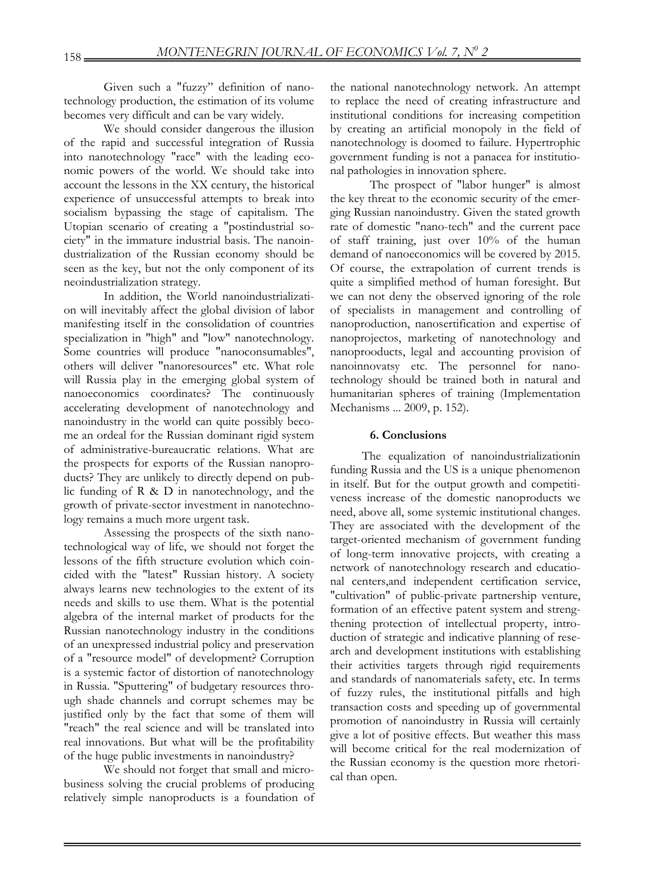Given such a "fuzzy" definition of nanotechnology production, the estimation of its volume becomes very difficult and can be vary widely.

We should consider dangerous the illusion of the rapid and successful integration of Russia into nanotechnology "race" with the leading economic powers of the world. We should take into account the lessons in the XX century, the historical experience of unsuccessful attempts to break into socialism bypassing the stage of capitalism. The Utopian scenario of creating a "postindustrial society" in the immature industrial basis. The nanoindustrialization of the Russian economy should be seen as the key, but not the only component of its neoindustrialization strategy.

In addition, the World nanoindustrialization will inevitably affect the global division of labor manifesting itself in the consolidation of countries specialization in "high" and "low" nanotechnology. Some countries will produce "nanoconsumables", others will deliver "nanoresources" etc. What role will Russia play in the emerging global system of nanoeconomics coordinates? The continuously accelerating development of nanotechnology and nanoindustry in the world can quite possibly become an ordeal for the Russian dominant rigid system of administrative-bureaucratic relations. What are the prospects for exports of the Russian nanoproducts? They are unlikely to directly depend on public funding of R & D in nanotechnology, and the growth of private-sector investment in nanotechnology remains a much more urgent task.

Assessing the prospects of the sixth nanotechnological way of life, we should not forget the lessons of the fifth structure evolution which coincided with the "latest" Russian history. A society always learns new technologies to the extent of its needs and skills to use them. What is the potential algebra of the internal market of products for the Russian nanotechnology industry in the conditions of an unexpressed industrial policy and preservation of a "resource model" of development? Corruption is a systemic factor of distortion of nanotechnology in Russia. "Sputtering" of budgetary resources through shade channels and corrupt schemes may be justified only by the fact that some of them will "reach" the real science and will be translated into real innovations. But what will be the profitability of the huge public investments in nanoindustry?

We should not forget that small and microbusiness solving the crucial problems of producing relatively simple nanoproducts is a foundation of the national nanotechnology network. An attempt to replace the need of creating infrastructure and institutional conditions for increasing competition by creating an artificial monopoly in the field of nanotechnology is doomed to failure. Hypertrophic government funding is not a panacea for institutional pathologies in innovation sphere.

The prospect of "labor hunger" is almost the key threat to the economic security of the emerging Russian nanoindustry. Given the stated growth rate of domestic "nano-tech" and the current pace of staff training, just over 10% of the human demand of nanoeconomics will be covered by 2015. Of course, the extrapolation of current trends is quite a simplified method of human foresight. But we can not deny the observed ignoring of the role of specialists in management and controlling of nanoproduction, nanosertification and expertise of nanoprojectos, marketing of nanotechnology and nanoprooducts, legal and accounting provision of nanoinnovatsy etc. The personnel for nanotechnology should be trained both in natural and humanitarian spheres of training (Implementation Mechanisms ... 2009, p. 152).

# **6. Conclusions**

The equalization of nanoindustrializationin funding Russia and the US is a unique phenomenon in itself. But for the output growth and competitiveness increase of the domestic nanoproducts we need, above all, some systemic institutional changes. They are associated with the development of the target-oriented mechanism of government funding of long-term innovative projects, with creating a network of nanotechnology research and educational centers,and independent certification service, "cultivation" of public-private partnership venture, formation of an effective patent system and strengthening protection of intellectual property, introduction of strategic and indicative planning of research and development institutions with establishing their activities targets through rigid requirements and standards of nanomaterials safety, etc. In terms of fuzzy rules, the institutional pitfalls and high transaction costs and speeding up of governmental promotion of nanoindustry in Russia will certainly give a lot of positive effects. But weather this mass will become critical for the real modernization of the Russian economy is the question more rhetorical than open.